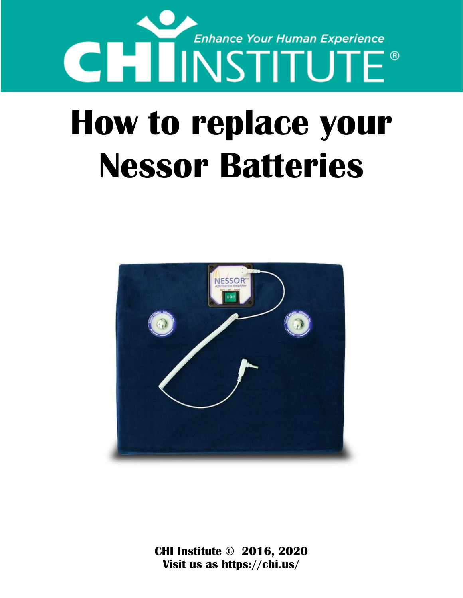

## **How to replace your Nessor Batteries**



**CHI Institute © 2016, 2020 Visit us as https://chi.us/**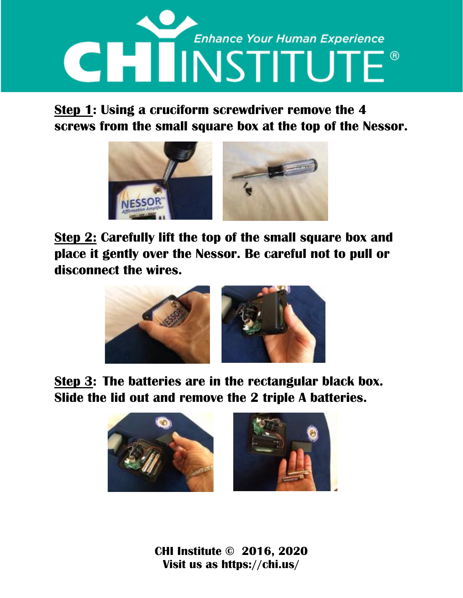

## **Step 1: Using a cruciform screwdriver remove the 4 screws from the small square box at the top of the Nessor.**



**Step 2: Carefully lift the top of the small square box and place it gently over the Nessor. Be careful not to pull or disconnect the wires.**



**Step 3: The batteries are in the rectangular black box. Slide the lid out and remove the 2 triple A batteries.**



**CHI Institute © 2016, 2020 Visit us as https://chi.us/**